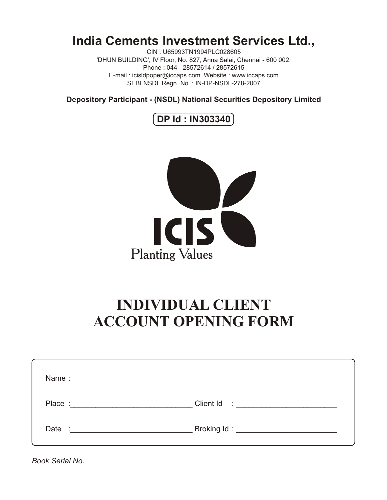## **India Cements Investment Services Ltd.,**

CIN : U65993TN1994PLC028605 'DHUN BUILDING', IV Floor, No. 827, Anna Salai, Chennai - 600 002. Phone : 044 - 28572614 / 28572615 E-mail : icisldpoper@iccaps.com Website : www.iccaps.com SEBI NSDL Regn. No. : IN-DP-NSDL-278-2007

**Depository Participant - (NSDL) National Securities Depository Limited**





# **INDIVIDUAL CLIENT ACCOUNT OPENING FORM**

| Place : <u>__________________________________</u> |  |
|---------------------------------------------------|--|
|                                                   |  |

*Book Serial No.*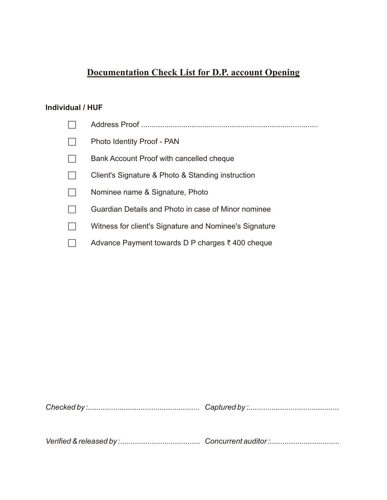## **Documentation Check List for D.P. account Opening**

### **Individual / HUF**

|                          | Photo Identity Proof - PAN                             |
|--------------------------|--------------------------------------------------------|
| $\overline{\phantom{a}}$ | Bank Account Proof with cancelled cheque               |
| $\sim$                   | Client's Signature & Photo & Standing instruction      |
|                          | Nominee name & Signature, Photo                        |
|                          | Guardian Details and Photo in case of Minor nominee    |
|                          | Witness for client's Signature and Nominee's Signature |
|                          | Advance Payment towards D P charges ₹400 cheque        |

*Checked by :..................................................... Captured by :...........................................*

*Verified & released by :...................................... Concurrent auditor :.................................*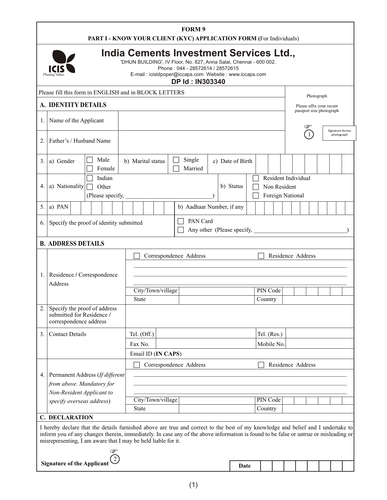|                                                                                        | FORM 9<br>PART I - KNOW YOUR CLIENT (KYC) APPLICATION FORM (For Individuals)                                                                                                                                                                                             |                                                           |
|----------------------------------------------------------------------------------------|--------------------------------------------------------------------------------------------------------------------------------------------------------------------------------------------------------------------------------------------------------------------------|-----------------------------------------------------------|
| <b>ICIS</b><br>Planting Values                                                         | India Cements Investment Services Ltd.,<br>'DHUN BUILDING', IV Floor, No. 827, Anna Salai, Chennai - 600 002.<br>Phone: 044 - 28572614 / 28572615<br>E-mail : icisldpoper@iccaps.com Website : www.iccaps.com<br><b>DP Id: IN303340</b>                                  |                                                           |
| Please fill this form in ENGLISH and in BLOCK LETTERS                                  |                                                                                                                                                                                                                                                                          | Photograph                                                |
| A. IDENTITY DETAILS                                                                    |                                                                                                                                                                                                                                                                          | Please affix your recent                                  |
| . Name of the Applicant                                                                |                                                                                                                                                                                                                                                                          | passport size photograph<br>☞                             |
| 2. Father's / Husband Name                                                             |                                                                                                                                                                                                                                                                          | <b>Signature Across</b><br>$\left(1\right)$<br>photograph |
| $\Box$ Male<br>$3.$ a) Gender<br>$\Box$ Female                                         | $\Box$ Single<br>b) Marital status<br>c) Date of Birth<br>Married                                                                                                                                                                                                        |                                                           |
| Indian<br>4. a) Nationality $\Box$ Other<br>(Please specify,                           | Resident Individual<br>b) Status<br>$\Box$ Non Resident<br>Foreign National                                                                                                                                                                                              |                                                           |
| 5. a) PAN                                                                              | b) Aadhaar Number, if any                                                                                                                                                                                                                                                |                                                           |
| 6. Specify the proof of identity submitted                                             | $\Box$ PAN Card<br>Any other (Please specify,                                                                                                                                                                                                                            |                                                           |
| <b>B. ADDRESS DETAILS</b>                                                              |                                                                                                                                                                                                                                                                          |                                                           |
|                                                                                        | Correspondence Address                                                                                                                                                                                                                                                   | Residence Address                                         |
| Residence / Correspondence                                                             |                                                                                                                                                                                                                                                                          |                                                           |
| Address                                                                                |                                                                                                                                                                                                                                                                          |                                                           |
|                                                                                        | <b>PIN Code</b><br>City/Town/village<br>Country<br>State                                                                                                                                                                                                                 |                                                           |
| 2. Specify the proof of address<br>submitted for Residence /<br>correspondence address |                                                                                                                                                                                                                                                                          |                                                           |
| 3. Contact Details                                                                     | Tel. (Off.)<br>$\vert$ Tel. (Res.)                                                                                                                                                                                                                                       |                                                           |
|                                                                                        | Mobile No.<br>Fax No.                                                                                                                                                                                                                                                    |                                                           |
|                                                                                        | Email ID (IN CAPS)<br>Correspondence Address                                                                                                                                                                                                                             | Residence Address                                         |
| 4. Permanent Address (If different                                                     |                                                                                                                                                                                                                                                                          |                                                           |
| $\int$ from above. Mandatory for                                                       |                                                                                                                                                                                                                                                                          |                                                           |
| Non-Resident Applicant to<br>$\vert$ specify overseas address)                         | City/Town/village<br><b>PIN Code</b>                                                                                                                                                                                                                                     |                                                           |
|                                                                                        | State<br>Country                                                                                                                                                                                                                                                         |                                                           |
| <b>C. DECLARATION</b>                                                                  |                                                                                                                                                                                                                                                                          |                                                           |
| misrepresenting, I am aware that I may be held liable for it.                          | I hereby declare that the details furnished above are true and correct to the best of my knowledge and belief and I undertake to<br>inform you of any changes therein, immediately. In case any of the above information is found to be false or untrue or misleading or |                                                           |
| Signature of the Applicant $\bigodot$                                                  | Date                                                                                                                                                                                                                                                                     |                                                           |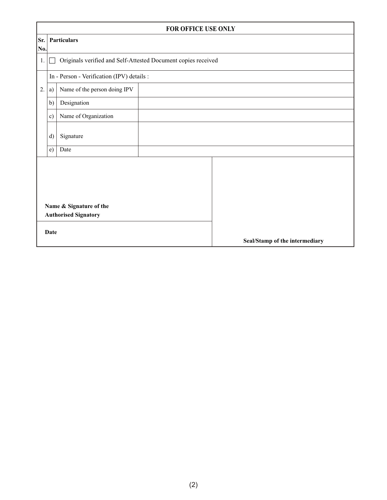|           | FOR OFFICE USE ONLY                                                     |                                            |  |                                |  |  |  |  |  |
|-----------|-------------------------------------------------------------------------|--------------------------------------------|--|--------------------------------|--|--|--|--|--|
| Sr.       | Particulars                                                             |                                            |  |                                |  |  |  |  |  |
| No.<br>1. | Originals verified and Self-Attested Document copies received<br>$\Box$ |                                            |  |                                |  |  |  |  |  |
|           |                                                                         | In - Person - Verification (IPV) details : |  |                                |  |  |  |  |  |
| 2.        | a)                                                                      | Name of the person doing IPV               |  |                                |  |  |  |  |  |
|           | b)                                                                      | Designation                                |  |                                |  |  |  |  |  |
|           | c)                                                                      | Name of Organization                       |  |                                |  |  |  |  |  |
|           | d)                                                                      | Signature                                  |  |                                |  |  |  |  |  |
|           | e)                                                                      | Date                                       |  |                                |  |  |  |  |  |
|           |                                                                         | Name & Signature of the                    |  |                                |  |  |  |  |  |
|           |                                                                         | <b>Authorised Signatory</b>                |  |                                |  |  |  |  |  |
|           | Date                                                                    |                                            |  | Seal/Stamp of the intermediary |  |  |  |  |  |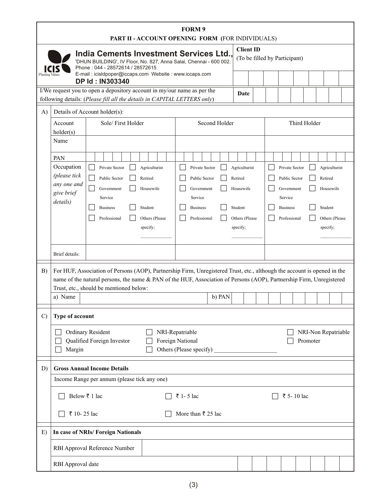| FORM 9<br>PART II - ACCOUNT OPENING FORM (FOR INDIVIDUALS)                                                                                                                                                                                                                                                                                                   |                                                                                                                     |                                                                                                       |                                                                                       |  |  |
|--------------------------------------------------------------------------------------------------------------------------------------------------------------------------------------------------------------------------------------------------------------------------------------------------------------------------------------------------------------|---------------------------------------------------------------------------------------------------------------------|-------------------------------------------------------------------------------------------------------|---------------------------------------------------------------------------------------|--|--|
| India Cements Investment Services Ltd.,<br>'DHUN BUILDING', IV Floor, No. 827, Anna Salai, Chennai - 600 002.<br>Phone: 044 - 28572614 / 28572615                                                                                                                                                                                                            | <b>Client ID</b>                                                                                                    | (To be filled by Participant)                                                                         |                                                                                       |  |  |
| E-mail: icisldpoper@iccaps.com Website: www.iccaps.com<br><b>DP Id: IN303340</b>                                                                                                                                                                                                                                                                             |                                                                                                                     |                                                                                                       |                                                                                       |  |  |
| I/We request you to open a depository account in my/our name as per the                                                                                                                                                                                                                                                                                      | Date                                                                                                                |                                                                                                       |                                                                                       |  |  |
| following details: (Please fill all the details in CAPITAL LETTERS only)<br>A) Details of Account holder(s):                                                                                                                                                                                                                                                 |                                                                                                                     |                                                                                                       |                                                                                       |  |  |
| Sole/First Holder<br>Account<br>holder(s)                                                                                                                                                                                                                                                                                                                    | Second Holder                                                                                                       | Third Holder                                                                                          |                                                                                       |  |  |
| Name                                                                                                                                                                                                                                                                                                                                                         |                                                                                                                     |                                                                                                       |                                                                                       |  |  |
| PAN<br>Occupation<br>$\Box$ Agriculturist<br>$\Box$<br>Private Sector<br>(please tick<br>Public Sector<br>Retired<br>Public Sector<br>any one and<br>Housewife<br>Government<br>Government<br>give brief<br>Service<br>Service<br>details)<br>$\Box$<br>  Student<br><b>Business</b><br>$\Box$<br>Others (Please<br>Professional<br>Professional<br>specify; | Agriculturist<br>Private Sector<br>Retired<br>Housewife<br>Student<br><b>Business</b><br>Others (Please<br>specify; | Private Sector<br>Public Sector<br>Government<br>Service<br>$\Box$<br><b>Business</b><br>Professional | Agriculturist<br>Retired<br>Housewife<br>$\Box$ Student<br>Others (Please<br>specify; |  |  |
| Brief details:                                                                                                                                                                                                                                                                                                                                               |                                                                                                                     |                                                                                                       |                                                                                       |  |  |
| B) For HUF, Association of Persons (AOP), Partnership Firm, Unregistered Trust, etc., although the account is opened in the<br>name of the natural persons, the name & PAN of the HUF, Association of Persons (AOP), Partnership Firm, Unregistered<br>Trust, etc., should be mentioned below:<br>a) Name                                                    | b) PAN                                                                                                              |                                                                                                       |                                                                                       |  |  |
| $\vert$ C) Type of account                                                                                                                                                                                                                                                                                                                                   |                                                                                                                     |                                                                                                       |                                                                                       |  |  |
| Ordinary Resident<br>$\Box$ NRI-Repatriable<br>Foreign National<br>Qualified Foreign Investor<br>$\Box$ Others (Please specify)<br>$\Box$ Margin                                                                                                                                                                                                             |                                                                                                                     |                                                                                                       | $\Box$ NRI-Non Repatriable<br>Promoter                                                |  |  |
| <b>Gross Annual Income Details</b><br>D)                                                                                                                                                                                                                                                                                                                     |                                                                                                                     |                                                                                                       |                                                                                       |  |  |
| Income Range per annum (please tick any one)                                                                                                                                                                                                                                                                                                                 |                                                                                                                     |                                                                                                       |                                                                                       |  |  |
| $□$ Below ₹ 1 lac<br>$\Box$ ₹ 1 - 5 lac                                                                                                                                                                                                                                                                                                                      |                                                                                                                     | $\Box$ ₹ 5-10 lac                                                                                     |                                                                                       |  |  |
| $\Box$ ₹ 10-25 lac<br>$\Box$ More than ₹ 25 lac                                                                                                                                                                                                                                                                                                              |                                                                                                                     |                                                                                                       |                                                                                       |  |  |
| E) In case of NRIs/ Foreign Nationals                                                                                                                                                                                                                                                                                                                        |                                                                                                                     |                                                                                                       |                                                                                       |  |  |
| RBI Approval Reference Number                                                                                                                                                                                                                                                                                                                                |                                                                                                                     |                                                                                                       |                                                                                       |  |  |
| RBI Approval date                                                                                                                                                                                                                                                                                                                                            |                                                                                                                     |                                                                                                       |                                                                                       |  |  |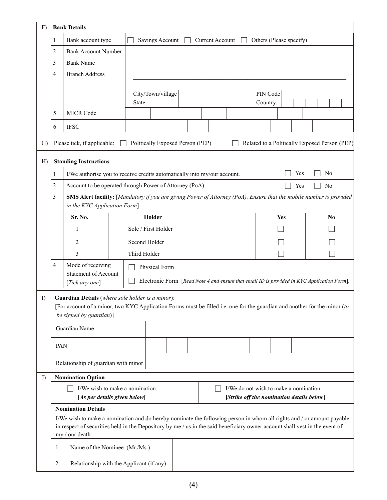|                                                                                                                            |                              | $F)$ Bank Details                                                                                                                                                                                                                                                       |                                                                                                    |  |  |  |          |                                               |           |                |
|----------------------------------------------------------------------------------------------------------------------------|------------------------------|-------------------------------------------------------------------------------------------------------------------------------------------------------------------------------------------------------------------------------------------------------------------------|----------------------------------------------------------------------------------------------------|--|--|--|----------|-----------------------------------------------|-----------|----------------|
|                                                                                                                            |                              | Bank account type                                                                                                                                                                                                                                                       | $\Box$ Savings Account $\Box$ Current Account $\Box$ Others (Please specify)                       |  |  |  |          |                                               |           |                |
|                                                                                                                            |                              | <b>Bank Account Number</b>                                                                                                                                                                                                                                              |                                                                                                    |  |  |  |          |                                               |           |                |
|                                                                                                                            |                              | <b>Bank Name</b>                                                                                                                                                                                                                                                        |                                                                                                    |  |  |  |          |                                               |           |                |
|                                                                                                                            |                              | <b>Branch Address</b>                                                                                                                                                                                                                                                   |                                                                                                    |  |  |  |          |                                               |           |                |
|                                                                                                                            |                              |                                                                                                                                                                                                                                                                         |                                                                                                    |  |  |  |          |                                               |           |                |
|                                                                                                                            |                              |                                                                                                                                                                                                                                                                         | City/Town/village                                                                                  |  |  |  | PIN Code |                                               |           |                |
|                                                                                                                            | $\sim$                       | <b>MICR Code</b>                                                                                                                                                                                                                                                        | State                                                                                              |  |  |  | Country  |                                               |           |                |
|                                                                                                                            |                              |                                                                                                                                                                                                                                                                         |                                                                                                    |  |  |  |          |                                               |           |                |
|                                                                                                                            | 6                            | <b>IFSC</b>                                                                                                                                                                                                                                                             |                                                                                                    |  |  |  |          |                                               |           |                |
|                                                                                                                            |                              | G)   Please tick, if applicable: $\Box$ Politically Exposed Person (PEP)                                                                                                                                                                                                |                                                                                                    |  |  |  |          | Related to a Politically Exposed Person (PEP) |           |                |
|                                                                                                                            |                              | $H)$ Standing Instructions                                                                                                                                                                                                                                              |                                                                                                    |  |  |  |          |                                               |           |                |
|                                                                                                                            |                              | I/We authorise you to receive credits automatically into my/our account.                                                                                                                                                                                                |                                                                                                    |  |  |  |          | $\Box$ Yes                                    | $\Box$ No |                |
|                                                                                                                            |                              | Account to be operated through Power of Attorney (PoA)                                                                                                                                                                                                                  |                                                                                                    |  |  |  |          | $\Box$ Yes                                    | $\Box$ No |                |
| <b>SMS Alert facility:</b> [Mandatory if you are giving Power of Attorney (PoA). Ensure that the mobile number is provided |                              |                                                                                                                                                                                                                                                                         |                                                                                                    |  |  |  |          |                                               |           |                |
|                                                                                                                            | in the KYC Application Form] |                                                                                                                                                                                                                                                                         |                                                                                                    |  |  |  |          |                                               |           |                |
|                                                                                                                            |                              | Sr. No.                                                                                                                                                                                                                                                                 | Holder                                                                                             |  |  |  |          | Yes                                           |           | N <sub>0</sub> |
|                                                                                                                            |                              |                                                                                                                                                                                                                                                                         | Sole / First Holder                                                                                |  |  |  |          | $\overline{\phantom{a}}$                      |           | $\Box$         |
|                                                                                                                            |                              | 2                                                                                                                                                                                                                                                                       | Second Holder                                                                                      |  |  |  |          | $\Box$                                        |           | $\Box$         |
|                                                                                                                            |                              | 3                                                                                                                                                                                                                                                                       | Third Holder                                                                                       |  |  |  |          | $\overline{\phantom{a}}$                      |           | $\Box$         |
|                                                                                                                            |                              | Mode of receiving                                                                                                                                                                                                                                                       | Physical Form                                                                                      |  |  |  |          |                                               |           |                |
|                                                                                                                            |                              | Statement of Account                                                                                                                                                                                                                                                    | $\Box$ Electronic Form [Read Note 4 and ensure that email ID is provided in KYC Application Form]. |  |  |  |          |                                               |           |                |
|                                                                                                                            |                              | [Tick any one]                                                                                                                                                                                                                                                          |                                                                                                    |  |  |  |          |                                               |           |                |
| I)                                                                                                                         |                              | <b>Guardian Details</b> (where sole holder is a minor):                                                                                                                                                                                                                 |                                                                                                    |  |  |  |          |                                               |           |                |
|                                                                                                                            |                              | [For account of a minor, two KYC Application Forms must be filled i.e. one for the guardian and another for the minor (to<br>be signed by guardian)]                                                                                                                    |                                                                                                    |  |  |  |          |                                               |           |                |
|                                                                                                                            |                              |                                                                                                                                                                                                                                                                         |                                                                                                    |  |  |  |          |                                               |           |                |
|                                                                                                                            |                              | Guardian Name                                                                                                                                                                                                                                                           |                                                                                                    |  |  |  |          |                                               |           |                |
|                                                                                                                            | PAN                          |                                                                                                                                                                                                                                                                         |                                                                                                    |  |  |  |          |                                               |           |                |
|                                                                                                                            |                              |                                                                                                                                                                                                                                                                         |                                                                                                    |  |  |  |          |                                               |           |                |
|                                                                                                                            |                              | Relationship of guardian with minor                                                                                                                                                                                                                                     |                                                                                                    |  |  |  |          |                                               |           |                |
| J                                                                                                                          |                              | <b>Nomination Option</b>                                                                                                                                                                                                                                                |                                                                                                    |  |  |  |          |                                               |           |                |
|                                                                                                                            |                              | $\Box$ I/We wish to make a nomination.                                                                                                                                                                                                                                  |                                                                                                    |  |  |  |          | $\Box$ I/We do not wish to make a nomination. |           |                |
|                                                                                                                            |                              | [As per details given below]                                                                                                                                                                                                                                            |                                                                                                    |  |  |  |          | [Strike off the nomination details below]     |           |                |
|                                                                                                                            |                              | <b>Nomination Details</b>                                                                                                                                                                                                                                               |                                                                                                    |  |  |  |          |                                               |           |                |
|                                                                                                                            |                              | I/We wish to make a nomination and do hereby nominate the following person in whom all rights and / or amount payable<br>in respect of securities held in the Depository by me / us in the said beneficiary owner account shall vest in the event of<br>my / our death. |                                                                                                    |  |  |  |          |                                               |           |                |
|                                                                                                                            | 1.                           | Name of the Nominee (Mr./Ms.)                                                                                                                                                                                                                                           |                                                                                                    |  |  |  |          |                                               |           |                |
|                                                                                                                            | 2.                           | Relationship with the Applicant (if any)                                                                                                                                                                                                                                |                                                                                                    |  |  |  |          |                                               |           |                |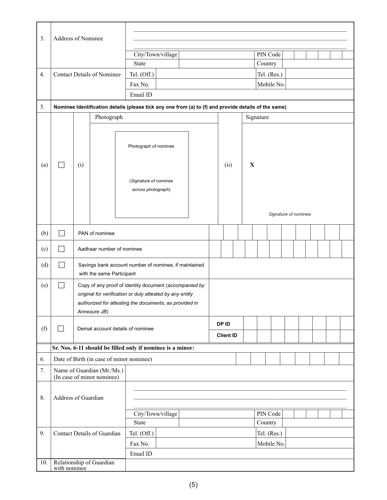| 3.  | Address of Nominee         |     |                                                          |                                                                                                                    |  |  |                  |  |                      |          |             |  |  |  |  |  |  |  |
|-----|----------------------------|-----|----------------------------------------------------------|--------------------------------------------------------------------------------------------------------------------|--|--|------------------|--|----------------------|----------|-------------|--|--|--|--|--|--|--|
|     |                            |     |                                                          |                                                                                                                    |  |  |                  |  |                      |          |             |  |  |  |  |  |  |  |
|     |                            |     |                                                          | City/Town/village                                                                                                  |  |  |                  |  |                      | PIN Code |             |  |  |  |  |  |  |  |
|     |                            |     |                                                          | State                                                                                                              |  |  |                  |  |                      | Country  |             |  |  |  |  |  |  |  |
| 4.  |                            |     | <b>Contact Details of Nominee</b>                        | Tel. (Off.)                                                                                                        |  |  |                  |  |                      |          | Tel. (Res.) |  |  |  |  |  |  |  |
|     |                            |     |                                                          | Fax No.                                                                                                            |  |  |                  |  |                      |          | Mobile No.  |  |  |  |  |  |  |  |
|     |                            |     |                                                          | Email ID                                                                                                           |  |  |                  |  |                      |          |             |  |  |  |  |  |  |  |
| 5.  |                            |     |                                                          | Nominee Identification details (please tick any one from (a) to (f) and provide details of the same)               |  |  |                  |  |                      |          |             |  |  |  |  |  |  |  |
|     |                            |     | Photograph                                               |                                                                                                                    |  |  |                  |  | Signature            |          |             |  |  |  |  |  |  |  |
|     |                            |     |                                                          |                                                                                                                    |  |  |                  |  |                      |          |             |  |  |  |  |  |  |  |
|     |                            |     |                                                          |                                                                                                                    |  |  |                  |  |                      |          |             |  |  |  |  |  |  |  |
|     |                            |     |                                                          | Photograph of nominee                                                                                              |  |  |                  |  |                      |          |             |  |  |  |  |  |  |  |
| (a) | $\overline{\phantom{a}}$   | (i) |                                                          |                                                                                                                    |  |  | (ii)             |  | $\mathbf X$          |          |             |  |  |  |  |  |  |  |
|     |                            |     |                                                          |                                                                                                                    |  |  |                  |  |                      |          |             |  |  |  |  |  |  |  |
|     |                            |     |                                                          | (Signature of nominee<br>across photograph)                                                                        |  |  |                  |  |                      |          |             |  |  |  |  |  |  |  |
|     |                            |     |                                                          |                                                                                                                    |  |  |                  |  |                      |          |             |  |  |  |  |  |  |  |
|     |                            |     |                                                          |                                                                                                                    |  |  |                  |  |                      |          |             |  |  |  |  |  |  |  |
|     |                            |     |                                                          |                                                                                                                    |  |  |                  |  | Signature of nominee |          |             |  |  |  |  |  |  |  |
| (b) | I.                         |     | PAN of nominee                                           |                                                                                                                    |  |  |                  |  |                      |          |             |  |  |  |  |  |  |  |
| (c) |                            |     | Aadhaar number of nominee                                |                                                                                                                    |  |  |                  |  |                      |          |             |  |  |  |  |  |  |  |
| (d) |                            |     | with the same Participant                                | Savings bank account number of nominee, if maintained                                                              |  |  |                  |  |                      |          |             |  |  |  |  |  |  |  |
|     |                            |     |                                                          |                                                                                                                    |  |  |                  |  |                      |          |             |  |  |  |  |  |  |  |
| (e) | $\sim$                     |     |                                                          | Copy of any proof of identity document (accompanied by<br>original for verification or duly attested by any entity |  |  |                  |  |                      |          |             |  |  |  |  |  |  |  |
|     |                            |     |                                                          | authorized for attesting the documents, as provided in                                                             |  |  |                  |  |                      |          |             |  |  |  |  |  |  |  |
|     |                            |     | Annexure JB)                                             |                                                                                                                    |  |  |                  |  |                      |          |             |  |  |  |  |  |  |  |
|     |                            |     |                                                          |                                                                                                                    |  |  | DP ID            |  |                      |          |             |  |  |  |  |  |  |  |
| (f) | $\Box$                     |     | Demat account details of nominee                         |                                                                                                                    |  |  | <b>Client ID</b> |  |                      |          |             |  |  |  |  |  |  |  |
|     |                            |     |                                                          | Sr. Nos. 6-11 should be filled only if nominee is a minor:                                                         |  |  |                  |  |                      |          |             |  |  |  |  |  |  |  |
| 6.  |                            |     | Date of Birth (in case of minor nominee)                 |                                                                                                                    |  |  |                  |  |                      |          |             |  |  |  |  |  |  |  |
| 7.  |                            |     | Name of Guardian (Mr./Ms.)<br>(In case of minor nominee) |                                                                                                                    |  |  |                  |  |                      |          |             |  |  |  |  |  |  |  |
|     |                            |     |                                                          |                                                                                                                    |  |  |                  |  |                      |          |             |  |  |  |  |  |  |  |
| 8.  | Address of Guardian        |     |                                                          |                                                                                                                    |  |  |                  |  |                      |          |             |  |  |  |  |  |  |  |
|     | PIN Code                   |     |                                                          |                                                                                                                    |  |  |                  |  |                      |          |             |  |  |  |  |  |  |  |
|     | City/Town/village<br>State |     |                                                          |                                                                                                                    |  |  |                  |  | Country              |          |             |  |  |  |  |  |  |  |
| 9.  |                            |     | Contact Details of Guardian                              | Tel. (Off.)                                                                                                        |  |  |                  |  |                      |          | Tel. (Res.) |  |  |  |  |  |  |  |
|     |                            |     |                                                          | Fax No.                                                                                                            |  |  |                  |  |                      |          | Mobile No.  |  |  |  |  |  |  |  |
|     |                            |     |                                                          | Email ID                                                                                                           |  |  |                  |  |                      |          |             |  |  |  |  |  |  |  |
| 10. |                            |     | Relationship of Guardian<br>with nominee                 |                                                                                                                    |  |  |                  |  |                      |          |             |  |  |  |  |  |  |  |
|     |                            |     |                                                          |                                                                                                                    |  |  |                  |  |                      |          |             |  |  |  |  |  |  |  |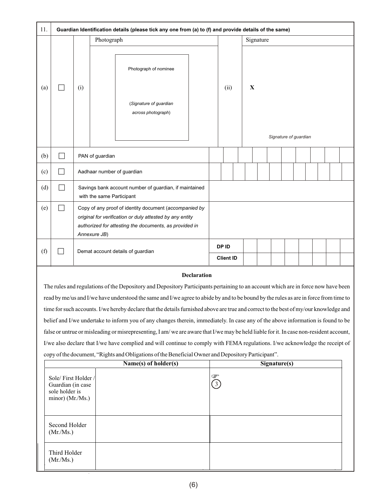| 11. |                             | Guardian Identification details (please tick any one from (a) to (f) and provide details of the same) |                                                                                                                                                                                              |                                                        |  |                  |  |                                      |           |  |  |  |  |  |  |  |
|-----|-----------------------------|-------------------------------------------------------------------------------------------------------|----------------------------------------------------------------------------------------------------------------------------------------------------------------------------------------------|--------------------------------------------------------|--|------------------|--|--------------------------------------|-----------|--|--|--|--|--|--|--|
|     |                             |                                                                                                       | Photograph                                                                                                                                                                                   |                                                        |  |                  |  |                                      | Signature |  |  |  |  |  |  |  |
|     |                             | (i)                                                                                                   | Photograph of nominee                                                                                                                                                                        |                                                        |  |                  |  |                                      |           |  |  |  |  |  |  |  |
| (a) | $\Box$                      |                                                                                                       |                                                                                                                                                                                              | (Signature of guardian<br>across photograph)           |  | (ii)             |  | $\mathbf X$<br>Signature of guardian |           |  |  |  |  |  |  |  |
| (b) | $\mathcal{L}_{\mathcal{A}}$ |                                                                                                       | PAN of guardian                                                                                                                                                                              |                                                        |  |                  |  |                                      |           |  |  |  |  |  |  |  |
| (c) | $\Box$                      |                                                                                                       |                                                                                                                                                                                              | Aadhaar number of guardian                             |  |                  |  |                                      |           |  |  |  |  |  |  |  |
| (d) | $\Box$                      |                                                                                                       | with the same Participant                                                                                                                                                                    | Savings bank account number of guardian, if maintained |  |                  |  |                                      |           |  |  |  |  |  |  |  |
| (e) | $\Box$                      |                                                                                                       | Copy of any proof of identity document (accompanied by<br>original for verification or duly attested by any entity<br>authorized for attesting the documents, as provided in<br>Annexure JB) |                                                        |  |                  |  |                                      |           |  |  |  |  |  |  |  |
| (f) | П                           |                                                                                                       |                                                                                                                                                                                              | Demat account details of guardian                      |  | DP ID            |  |                                      |           |  |  |  |  |  |  |  |
|     |                             |                                                                                                       |                                                                                                                                                                                              |                                                        |  | <b>Client ID</b> |  |                                      |           |  |  |  |  |  |  |  |

#### **Declaration**

The rules and regulations of the Depository and Depository Participants pertaining to an account which are in force now have been read by me/us and I/we have understood the same and I/we agree to abide by and to be bound by the rules as are in force from time to time for such accounts. I/we hereby declare that the details furnished above are true and correct to the best of my/our knowledge and belief and I/we undertake to inform you of any changes therein, immediately. In case any of the above information is found to be false or untrue or misleading or misrepresenting, I am/we are aware that I/we may be held liable for it. In case non-resident account, I/we also declare that I/we have complied and will continue to comply with FEMA regulations. I/we acknowledge the receipt of copy of the document, "Rights and Obligations of the Beneficial Owner and Depository Participant".

|                                                                                | Name(s) of holder(s)  | Signature(s) |
|--------------------------------------------------------------------------------|-----------------------|--------------|
| Sole/First Holder /<br>Guardian (in case<br>sole holder is<br>minor) (Mr./Ms.) | $\breve{\phantom{a}}$ |              |
| Second Holder<br>(Mr/Ms.)                                                      |                       |              |
| Third Holder<br>(Mr./Ms.)                                                      |                       |              |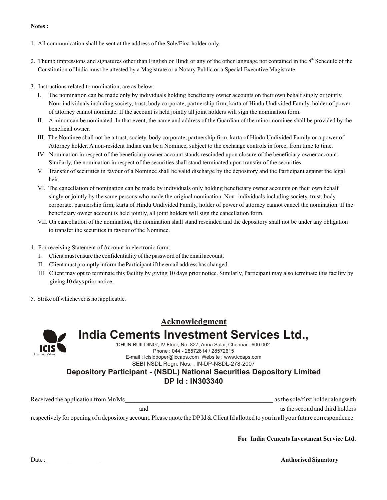#### **Notes :**

- 1. All communication shall be sent at the address of the Sole/First holder only.
- 2. Thumb impressions and signatures other than English or Hindi or any of the other language not contained in the  $8<sup>th</sup>$  Schedule of the Constitution of India must be attested by a Magistrate or a Notary Public or a Special Executive Magistrate.
- 3. Instructions related to nomination, are as below:
	- I. The nomination can be made only by individuals holding beneficiary owner accounts on their own behalf singly or jointly. Non- individuals including society, trust, body corporate, partnership firm, karta of Hindu Undivided Family, holder of power of attorney cannot nominate. If the account is held jointly all joint holders will sign the nomination form.
	- II. A minor can be nominated. In that event, the name and address of the Guardian of the minor nominee shall be provided by the beneficial owner.
	- III. The Nominee shall not be a trust, society, body corporate, partnership firm, karta of Hindu Undivided Family or a power of Attorney holder. A non-resident Indian can be a Nominee, subject to the exchange controls in force, from time to time.
	- IV. Nomination in respect of the beneficiary owner account stands rescinded upon closure of the beneficiary owner account. Similarly, the nomination in respect of the securities shall stand terminated upon transfer of the securities.
	- V. Transfer of securities in favour of a Nominee shall be valid discharge by the depository and the Participant against the legal heir.
	- VI. The cancellation of nomination can be made by individuals only holding beneficiary owner accounts on their own behalf singly or jointly by the same persons who made the original nomination. Non- individuals including society, trust, body corporate, partnership firm, karta of Hindu Undivided Family, holder of power of attorney cannot cancel the nomination. If the beneficiary owner account is held jointly, all joint holders will sign the cancellation form.
	- VII. On cancellation of the nomination, the nomination shall stand rescinded and the depository shall not be under any obligation to transfer the securities in favour of the Nominee.
- 4. For receiving Statement of Account in electronic form:
	- I. Client must ensure the confidentiality of the password of the email account.
	- II. Client must promptly inform the Participant if the email address has changed.
	- III. Client may opt to terminate this facility by giving 10 days prior notice. Similarly, Participant may also terminate this facility by giving 10 days prior notice.
- 5. Strike off whichever is not applicable.



## **Acknowledgment India Cements Investment Services Ltd.,**

'DHUN BUILDING', IV Floor, No. 827, Anna Salai, Chennai - 600 002. Phone : 044 - 28572614 / 28572615 E-mail : icisldpoper@iccaps.com Website : www.iccaps.com SEBI NSDL Regn. Nos. : IN-DP-NSDL-278-2007

### **Depository Participant - (NSDL) National Securities Depository Limited DP Id : IN303340**

| Received the application from Mr/Ms | as the sole/first holder alongwith |
|-------------------------------------|------------------------------------|
| and                                 | as the second and third holders    |

respectively for opening of a depository account. Please quote the DPId & Client Id allotted to you in all your future correspondence.

**For India Cements Investment Service Ltd.**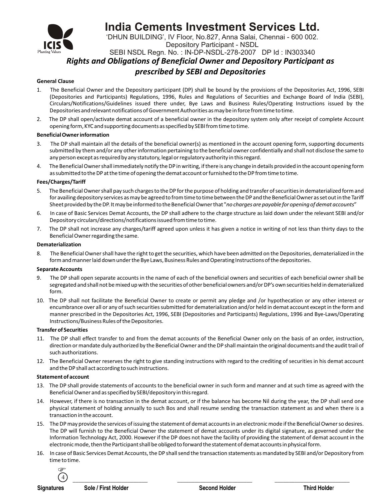

## **India Cements Investment Services Ltd.**

'DHUN BUILDING', IV Floor, No.827, Anna Salai, Chennai - 600 002.

Depository Participant - NSDL

SEBI NSDL Regn. No. : IN-DP-NSDL-278-2007 DP Id : IN303340

*Rights and Obligations of Beneficial Owner and Depository Participant as* 

### *prescribed by SEBI and Depositories*

#### **General Clause**

- 1. The Beneficial Owner and the Depository participant (DP) shall be bound by the provisions of the Depositories Act, 1996, SEBI (Depositories and Participants) Regulations, 1996, Rules and Regulations of Securities and Exchange Board of India (SEBI), Circulars/Notifications/Guidelines issued there under, Bye Laws and Business Rules/Operating Instructions issued by the Depositories and relevant notifications of Government Authorities as may be in force from time to time.
- 2. The DP shall open/activate demat account of a beneficial owner in the depository system only after receipt of complete Account opening form, KYC and supporting documents as specified by SEBI from time to time.

#### **BeneficialOwner information**

- 3. The DP shall maintain all the details of the beneficial owner(s) as mentioned in the account opening form, supporting documents submitted by them and/or any other information pertaining to the beneficial owner confidentially and shall not disclose the same to any person except as required by any statutory, legal or regulatory authority in this regard.
- 4. The BeneficialOwner shall immediately notify the DP in writing, if there is any change in details provided in the account opening form as submitted to the DP at the time of opening the demat account or furnished to the DP from time to time.

#### **Fees/Charges/Tariff**

- 5. The Beneficial Owner shall pay such charges to the DP for the purpose of holding and transfer of securities in dematerialized form and for availing depository services as may be agreed to from time to time between the DP and the BeneficialOwner as set out in the Tariff Sheet provided by the DP. It may be informed to the Beneficial Owner that "*no charges are payable for opening of demat accounts*"
- 6. In case of Basic Services Demat Accounts, the DP shall adhere to the charge structure as laid down under the relevant SEBI and/or Depository circulars/directions/notifications issued from time to time.
- 7. The DP shall not increase any charges/tariff agreed upon unless it has given a notice in writing of not less than thirty days to the Beneficial Owner regarding the same.

#### **Dematerialization**

8. The BeneficialOwner shall have the right to get the securities, which have been admitted on the Depositories, dematerialized in the form and manner laid down under the Bye Laws, Business Rules and Operating Instructions of the depositories.

#### **Separate Accounts**

- 9. The DP shall open separate accounts in the name of each of the beneficial owners and securities of each beneficial owner shall be segregated and shall not be mixed up with the securities of other beneficial owners and/or DP's own securities held in dematerialized form.
- 10. The DP shall not facilitate the Beneficial Owner to create or permit any pledge and /or hypothecation or any other interest or encumbrance over all or any of such securities submitted for dematerialization and/or held in demat account except in the form and manner prescribed in the Depositories Act, 1996, SEBI (Depositories and Participants) Regulations, 1996 and Bye-Laws/Operating Instructions/Business Rules of the Depositories.

#### **Transfer of Securities**

- 11. The DP shall effect transfer to and from the demat accounts of the Beneficial Owner only on the basis of an order, instruction, direction or mandate duly authorized by the Beneficial Owner and the DP shall maintain the original documents and the audit trail of such authorizations.
- 12. The Beneficial Owner reserves the right to give standing instructions with regard to the crediting of securities in his demat account and the DP shall act according to such instructions.

#### **Statement of account**

- 13. The DP shall provide statements of accounts to the beneficial owner in such form and manner and at such time as agreed with the Beneficial Owner and as specified by SEBI/depository in this regard.
- 14. However, if there is no transaction in the demat account, or if the balance has become Nil during the year, the DP shall send one physical statement of holding annually to such Bos and shall resume sending the transaction statement as and when there is a transaction in the account.
- 15. The DP may provide the services of issuing the statement of demat accounts in an electronic mode if the Beneficial Owner so desires. The DP will furnish to the Beneficial Owner the statement of demat accounts under its digital signature, as governed under the Information Technology Act, 2000. However if the DP does not have the facility of providing the statement of demat account in the electronic mode, then the Participant shall be obliged to forward the statement of demat accounts in physical form.
- 16. In case of Basic Services Demat Accounts, the DP shall send the transaction statements as mandated by SEBI and/or Depository from time to time.



**Signatures Sole / First Holder Second Holder Second Holder Second Holder Second Holder Second Holder Second Holder**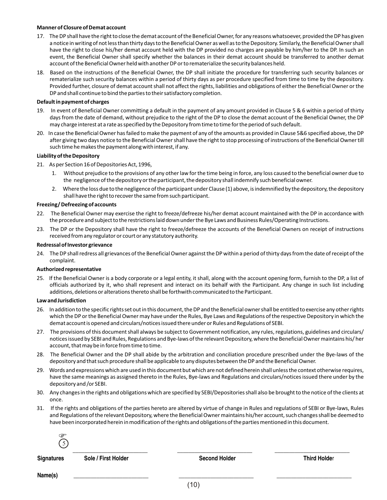#### **Manner of Closure of Demat account**

- 17. The DP shall have the right to close the demat account of the Beneficial Owner, for any reasons whatsoever, provided the DP has given a notice in writing of not less than thirty days to the Beneficial Owner as well as to the Depository. Similarly, the Beneficial Owner shall have the right to close his/her demat account held with the DP provided no charges are payable by him/her to the DP. In such an event, the Beneficial Owner shall specify whether the balances in their demat account should be transferred to another demat account of the Beneficial Owner held with another DP or to rematerialize the security balances held.
- 18. Based on the instructions of the Beneficial Owner, the DP shall initiate the procedure for transferring such security balances or rematerialize such security balances within a period of thirty days as per procedure specified from time to time by the depository. Provided further, closure of demat account shall not affect the rights, liabilities and obligations of either the Beneficial Owner or the DP and shall continue to bind the parties to their satisfactory completion.

#### **Default in payment of charges**

- 19. In event of Beneficial Owner committing a default in the payment of any amount provided in Clause 5 & 6 within a period of thirty days from the date of demand, without prejudice to the right of the DP to close the demat account of the Beneficial Owner, the DP may charge interest at a rate as specified by the Depository from time to time for the period of such default.
- 20. In case the BeneficialOwner has failed to make the payment of any of the amounts as provided in Clause 5&6 specified above, the DP after giving two days notice to the BeneficialOwner shall have the right to stop processing of instructions of the Beneficial Owner till such time he makes the payment along with interest, if any.

#### **Liability of the Depository**

- 21. As per Section 16 of Depositories Act, 1996,
	- 1. Without prejudice to the provisions of any other law for the time being in force, any loss caused to the beneficial owner due to the negligence of the depository or the participant, the depository shall indemnify such beneficialowner.
	- 2. Where the loss due to the negligence of the participant under Clause (1) above, is indemnified by the depository, the depository shall have the right to recover the same from such participant.

#### **Freezing/ Defreezing of accounts**

- 22. The Beneficial Owner may exercise the right to freeze/defreeze his/her demat account maintained with the DP in accordance with the procedure and subject to the restrictions laid down under the Bye Laws and Business Rules/Operating Instructions.
- 23. The DP or the Depository shall have the right to freeze/defreeze the accounts of the Beneficial Owners on receipt of instructions received from any regulator or court or any statutory authority.

#### **Redressal of Investor grievance**

24. The DP shall redress all grievances of the Beneficial Owner against the DP within a period of thirty days from the date of receipt of the complaint.

#### **Authorized representative**

25. If the Beneficial Owner is a body corporate or a legal entity, it shall, along with the account opening form, furnish to the DP, a list of officials authorized by it, who shall represent and interact on its behalf with the Participant. Any change in such list including additions, deletions or alterations thereto shall be forthwith communicated to the Participant.

#### **Law and Jurisdiction**

- 26. In addition to the specific rights set out in this document, the DP and the Beneficial owner shall be entitled to exercise any other rights which the DP or the Beneficial Owner may have under the Rules, Bye Laws and Regulations of the respective Depository in which the demat account is opened and circulars/notices issued there under or Rules and Regulations of SEBI.
- 27. The provisions of this document shall always be subject to Government notification, any rules, regulations, guidelines and circulars/ notices issued by SEBI and Rules, Regulations and Bye-laws of the relevant Depository, where the BeneficialOwner maintains his/ her account, that may be in force from time to time.
- 28. The Beneficial Owner and the DP shall abide by the arbitration and conciliation procedure prescribed under the Bye-laws of the depository and that such procedure shall be applicable to any disputes between the DP and the Beneficial Owner.
- 29. Words and expressions which are used in this document but which are not defined herein shall unless the context otherwise requires, have the same meanings as assigned thereto in the Rules, Bye-laws and Regulations and circulars/notices issued there under by the depository and /or SEBI.
- 30. Any changes in the rights and obligations which are specified by SEBI/Depositories shall also be brought to the notice of the clients at once.
- 31. If the rights and obligations of the parties hereto are altered by virtue of change in Rules and regulations of SEBI or Bye-laws, Rules and Regulations of the relevant Depository, where the Beneficial Owner maintains his/her account, such changes shall be deemed to have been incorporated herein in modification of the rights and obligations of the parties mentioned in this document.

 $\overline{\phantom{a}}$  , and the contract of the contract of the contract of the contract of the contract of the contract of the contract of the contract of the contract of the contract of the contract of the contract of the contrac  $\mathcal{F}_{5}$ 

**Signatures Sole / First Holder Second Holder Second Holder Second Holder Second Holder Second Holder Second Holder Name(s)** \_\_\_\_\_\_\_\_\_\_\_\_\_\_\_\_\_\_\_\_\_\_\_\_\_\_ \_\_\_\_\_\_\_\_\_\_\_\_\_\_\_\_\_\_\_\_\_\_\_\_\_\_ \_\_\_\_\_\_\_\_\_\_\_\_\_\_\_\_\_\_\_\_\_\_\_\_\_\_ <sup>F</sup>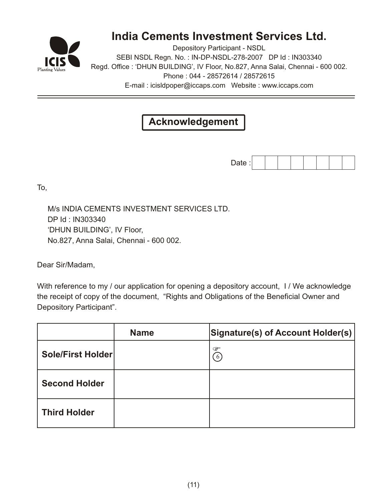

## **India Cements Investment Services Ltd.**

Depository Participant - NSDL SEBI NSDL Regn. No. : IN-DP-NSDL-278-2007 DP Id : IN303340 Regd. Office : 'DHUN BUILDING', IV Floor, No.827, Anna Salai, Chennai - 600 002. Phone : 044 - 28572614 / 28572615 E-mail : icisldpoper@iccaps.com Website : www.iccaps.com

## **Acknowledgement**

Date :

To,

 M/s INDIA CEMENTS INVESTMENT SERVICES LTD. DP Id : IN303340 'DHUN BUILDING', IV Floor, No.827, Anna Salai, Chennai - 600 002.

Dear Sir/Madam,

With reference to my / our application for opening a depository account, I / We acknowledge the receipt of copy of the document, "Rights and Obligations of the Beneficial Owner and Depository Participant".

|                     | <b>Name</b> | Signature(s) of Account Holder(s) |
|---------------------|-------------|-----------------------------------|
| Sole/First Holder   |             | Ò                                 |
| Second Holder       |             |                                   |
| <b>Third Holder</b> |             |                                   |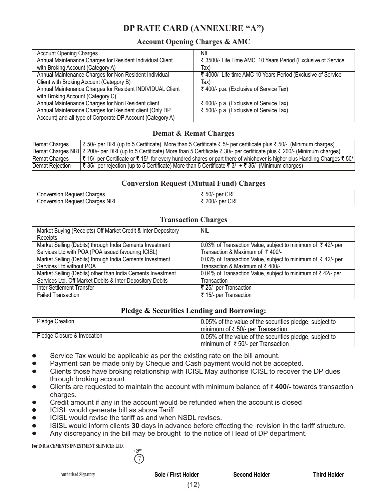## **DP RATE CARD (ANNEXURE "A")**

### **Account Opening Charges & AMC**

| <b>Account Opening Charges</b>                             | nil                                                          |
|------------------------------------------------------------|--------------------------------------------------------------|
| Annual Maintenance Charges for Resident Individual Client  | ₹ 3500/- Life Time AMC 10 Years Period (Exclusive of Service |
| with Broking Account (Category A)                          | Tax)                                                         |
| Annual Maintenance Charges for Non Resident Individual     | ₹ 4000/- Life time AMC 10 Years Period (Exclusive of Service |
| Client with Broking Account (Category B)                   | Tax)                                                         |
| Annual Maintenance Charges for Resident INDIVIDUAL Client  | ₹ 400/- p.a. (Exclusive of Service Tax)                      |
| with Broking Account (Category C)                          |                                                              |
| Annual Maintenance Charges for Non Resident client         | ₹ 600/- p.a. (Exclusive of Service Tax)                      |
| Annual Maintenance Charges for Resident client (Only DP    | ₹ 500/- p.a. (Exclusive of Service Tax)                      |
| Account) and all type of Corporate DP Account (Category A) |                                                              |

### **Demat & Remat Charges**

| Demat Charges   | ₹ 50/- per DRF(up to 5 Certificate) More than 5 Certificate ₹ 5/- per certificate plus ₹ 50/- (Minimum charges)                        |
|-----------------|----------------------------------------------------------------------------------------------------------------------------------------|
|                 | Demat Charges NRI   ₹ 200/- per DRF(up to 5 Certificate) More than 5 Certificate ₹ 30/- per certificate plus ₹ 200/- (Minimum charges) |
| Remat Charges   | ₹ 15/- per Certificate or ₹ 15/- for every hundred shares or part there of whichever is higher plus Handling Charges ₹ 50/-            |
| Demat Rejection | 1 ₹ 35/- per rejection (up to 5 Certificate) More than 5 Certificate ₹ 3/- + ₹ 35/- (Minimum charges)                                  |

### **Conversion Request (Mutual Fund) Charges**

| Charges<br>Conversion<br>eauest<br>ne. | <b>CRF</b><br>$ \sim$<br>n≙r<br>וו ור.<br>וטט<br><b>UU</b> |
|----------------------------------------|------------------------------------------------------------|
| NRI »                                  | <b>CDL</b>                                                 |
| onversion;                             | ባስስ                                                        |
| Charges                                | per                                                        |
| ا Request                              | –∪U/- ″                                                    |
| ٠,                                     | ∪ಗ                                                         |

### **Transaction Charges**

| Market Buying (Receipts) Off Market Credit & Inter Depository | <b>NIL</b>                                                              |
|---------------------------------------------------------------|-------------------------------------------------------------------------|
| Receipts                                                      |                                                                         |
| Market Selling (Debits) through India Cements Investment      | 0.03% of Transaction Value, subject to minimum of ₹42/- per             |
| Services Ltd with POA (POA issued favouring ICISL)            | Transaction & Maximum of $\bar{\tau}$ 400/-                             |
| Market Selling (Debits) through India Cements Investment      | 0.03% of Transaction Value, subject to minimum of $\bar{\tau}$ 42/- per |
| Services Ltd without POA                                      | Transaction & Maximum of ₹400/-                                         |
| Market Selling (Debits) other than India Cements Investment   | 0.04% of Transaction Value, subject to minimum of ₹42/- per             |
| Services Ltd. Off Market Debits & Inter Depository Debits     | Transaction                                                             |
| Inter Settlement Transfer                                     | ₹ 25/- per Transaction                                                  |
| <b>Failed Transaction</b>                                     | ₹ 15/- per Transaction                                                  |

### **Pledge & Securities Lending and Borrowing:**

| <b>Pledge Creation</b>      | 0.05% of the value of the securities pledge, subject to |  |
|-----------------------------|---------------------------------------------------------|--|
|                             | minimum of $\bar{\tau}$ 50/- per Transaction            |  |
| Pledge Closure & Invocation | 0.05% of the value of the securities pledge, subject to |  |
|                             | minimum of $\bar{\tau}$ 50/- per Transaction            |  |

- Service Tax would be applicable as per the existing rate on the bill amount.
- l Payment can be made only by Cheque and Cash payment would not be accepted.
- Clients those have broking relationship with ICISL May authorise ICISL to recover the DP dues through broking account.
- Clients are requested to maintain the account with minimum balance of ₹400/- towards transaction charges.
- Credit amount if any in the account would be refunded when the account is closed
- l ICISL would generate bill as above Tariff.
- l ICISL would revise the tariff as and when NSDL revises.
- l ISISL would inform clients **30** days in advance before effecting the revision in the tariff structure.
- Any discrepancy in the bill may be brought to the notice of Head of DP department.

**For INDIA CEMENTS INVESTMENT SERVICES LTD.**



(12)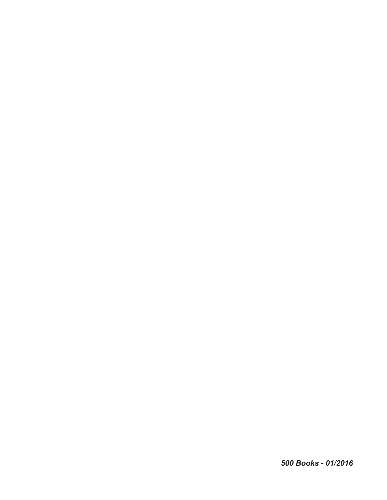*500 Books - 01/2016*